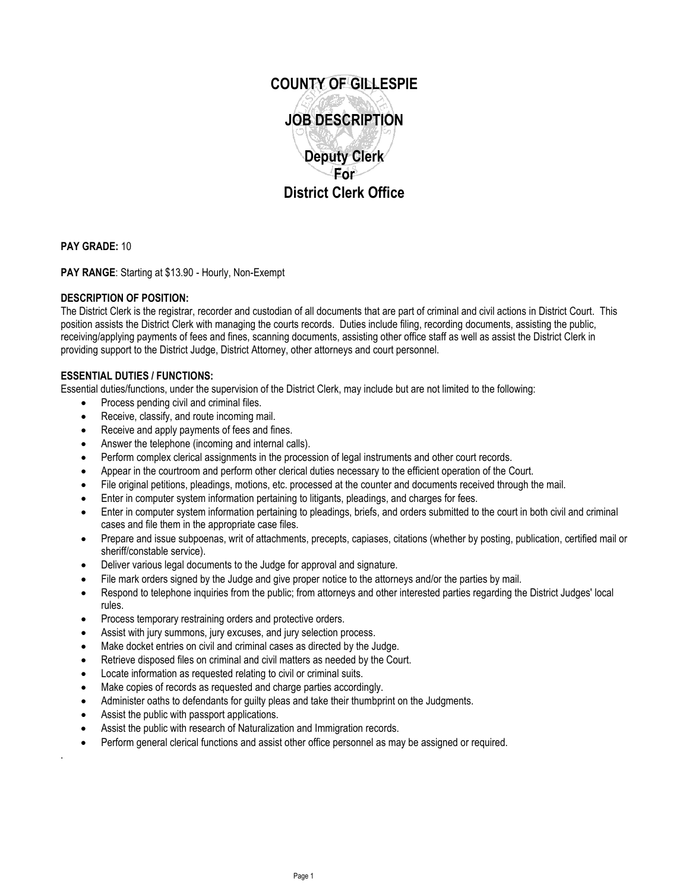

**PAY GRADE:** 10

**PAY RANGE**: Starting at \$13.90 - Hourly, Non-Exempt

## **DESCRIPTION OF POSITION:**

The District Clerk is the registrar, recorder and custodian of all documents that are part of criminal and civil actions in District Court. This position assists the District Clerk with managing the courts records. Duties include filing, recording documents, assisting the public, receiving/applying payments of fees and fines, scanning documents, assisting other office staff as well as assist the District Clerk in providing support to the District Judge, District Attorney, other attorneys and court personnel.

## **ESSENTIAL DUTIES / FUNCTIONS:**

Essential duties/functions, under the supervision of the District Clerk, may include but are not limited to the following:

- Process pending civil and criminal files.
- Receive, classify, and route incoming mail.
- Receive and apply payments of fees and fines.
- Answer the telephone (incoming and internal calls).
- Perform complex clerical assignments in the procession of legal instruments and other court records.
- Appear in the courtroom and perform other clerical duties necessary to the efficient operation of the Court.
- File original petitions, pleadings, motions, etc. processed at the counter and documents received through the mail.
- Enter in computer system information pertaining to litigants, pleadings, and charges for fees.
- Enter in computer system information pertaining to pleadings, briefs, and orders submitted to the court in both civil and criminal cases and file them in the appropriate case files.
- Prepare and issue subpoenas, writ of attachments, precepts, capiases, citations (whether by posting, publication, certified mail or sheriff/constable service).
- Deliver various legal documents to the Judge for approval and signature.
- File mark orders signed by the Judge and give proper notice to the attorneys and/or the parties by mail.
- Respond to telephone inquiries from the public; from attorneys and other interested parties regarding the District Judges' local rules.
- Process temporary restraining orders and protective orders.
- Assist with jury summons, jury excuses, and jury selection process.
- Make docket entries on civil and criminal cases as directed by the Judge.
- Retrieve disposed files on criminal and civil matters as needed by the Court.
- Locate information as requested relating to civil or criminal suits.
- Make copies of records as requested and charge parties accordingly.
- Administer oaths to defendants for guilty pleas and take their thumbprint on the Judgments.
- Assist the public with passport applications.

.

- Assist the public with research of Naturalization and Immigration records.
- Perform general clerical functions and assist other office personnel as may be assigned or required.